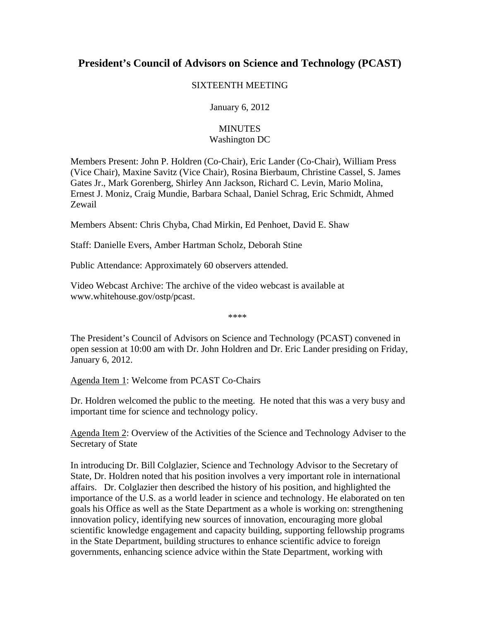# **President's Council of Advisors on Science and Technology (PCAST)**

## SIXTEENTH MEETING

January 6, 2012

# **MINUTES** Washington DC

Members Present: John P. Holdren (Co‐Chair), Eric Lander (Co‐Chair), William Press (Vice Chair), Maxine Savitz (Vice Chair), Rosina Bierbaum, Christine Cassel, S. James Gates Jr., Mark Gorenberg, Shirley Ann Jackson, Richard C. Levin, Mario Molina, Ernest J. Moniz, Craig Mundie, Barbara Schaal, Daniel Schrag, Eric Schmidt, Ahmed Zewail

Members Absent: Chris Chyba, Chad Mirkin, Ed Penhoet, David E. Shaw

Staff: Danielle Evers, Amber Hartman Scholz, Deborah Stine

Public Attendance: Approximately 60 observers attended.

Video Webcast Archive: The archive of the video webcast is available at www.whitehouse.gov/ostp/pcast.

\*\*\*\*

The President's Council of Advisors on Science and Technology (PCAST) convened in open session at 10:00 am with Dr. John Holdren and Dr. Eric Lander presiding on Friday, January 6, 2012.

Agenda Item 1: Welcome from PCAST Co‐Chairs

Dr. Holdren welcomed the public to the meeting. He noted that this was a very busy and important time for science and technology policy.

Agenda Item 2: Overview of the Activities of the Science and Technology Adviser to the Secretary of State

In introducing Dr. Bill Colglazier, Science and Technology Advisor to the Secretary of State, Dr. Holdren noted that his position involves a very important role in international affairs. Dr. Colglazier then described the history of his position, and highlighted the importance of the U.S. as a world leader in science and technology. He elaborated on ten goals his Office as well as the State Department as a whole is working on: strengthening innovation policy, identifying new sources of innovation, encouraging more global scientific knowledge engagement and capacity building, supporting fellowship programs in the State Department, building structures to enhance scientific advice to foreign governments, enhancing science advice within the State Department, working with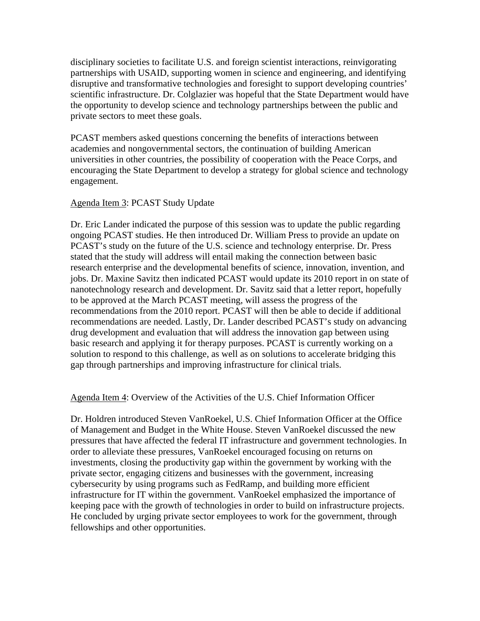disciplinary societies to facilitate U.S. and foreign scientist interactions, reinvigorating partnerships with USAID, supporting women in science and engineering, and identifying disruptive and transformative technologies and foresight to support developing countries' scientific infrastructure. Dr. Colglazier was hopeful that the State Department would have the opportunity to develop science and technology partnerships between the public and private sectors to meet these goals.

PCAST members asked questions concerning the benefits of interactions between academies and nongovernmental sectors, the continuation of building American universities in other countries, the possibility of cooperation with the Peace Corps, and encouraging the State Department to develop a strategy for global science and technology engagement.

## Agenda Item 3: PCAST Study Update

Dr. Eric Lander indicated the purpose of this session was to update the public regarding ongoing PCAST studies. He then introduced Dr. William Press to provide an update on PCAST's study on the future of the U.S. science and technology enterprise. Dr. Press stated that the study will address will entail making the connection between basic research enterprise and the developmental benefits of science, innovation, invention, and jobs. Dr. Maxine Savitz then indicated PCAST would update its 2010 report in on state of nanotechnology research and development. Dr. Savitz said that a letter report, hopefully to be approved at the March PCAST meeting, will assess the progress of the recommendations from the 2010 report. PCAST will then be able to decide if additional recommendations are needed. Lastly, Dr. Lander described PCAST's study on advancing drug development and evaluation that will address the innovation gap between using basic research and applying it for therapy purposes. PCAST is currently working on a solution to respond to this challenge, as well as on solutions to accelerate bridging this gap through partnerships and improving infrastructure for clinical trials.

#### Agenda Item 4: Overview of the Activities of the U.S. Chief Information Officer

Dr. Holdren introduced Steven VanRoekel, U.S. Chief Information Officer at the Office of Management and Budget in the White House. Steven VanRoekel discussed the new pressures that have affected the federal IT infrastructure and government technologies. In order to alleviate these pressures, VanRoekel encouraged focusing on returns on investments, closing the productivity gap within the government by working with the private sector, engaging citizens and businesses with the government, increasing cybersecurity by using programs such as FedRamp, and building more efficient infrastructure for IT within the government. VanRoekel emphasized the importance of keeping pace with the growth of technologies in order to build on infrastructure projects. He concluded by urging private sector employees to work for the government, through fellowships and other opportunities.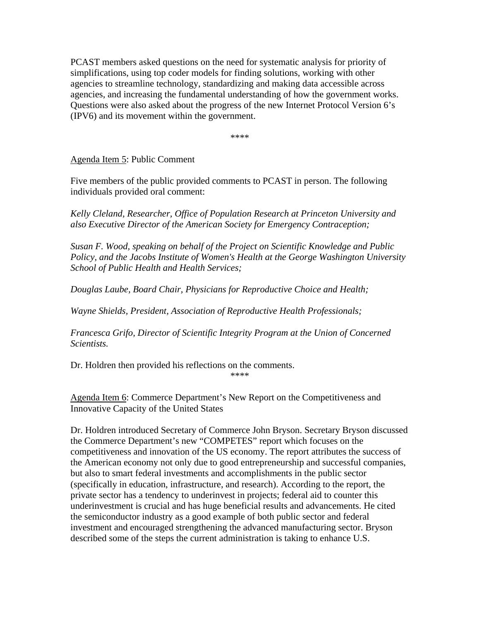PCAST members asked questions on the need for systematic analysis for priority of simplifications, using top coder models for finding solutions, working with other agencies to streamline technology, standardizing and making data accessible across agencies, and increasing the fundamental understanding of how the government works. Questions were also asked about the progress of the new Internet Protocol Version 6's (IPV6) and its movement within the government.

\*\*\*\*

Agenda Item 5: Public Comment

Five members of the public provided comments to PCAST in person. The following individuals provided oral comment:

*Kelly Cleland, Researcher, Office of Population Research at Princeton University and also Executive Director of the American Society for Emergency Contraception;* 

*Susan F. Wood, speaking on behalf of the Project on Scientific Knowledge and Public Policy, and the Jacobs Institute of Women's Health at the George Washington University School of Public Health and Health Services;* 

*Douglas Laube, Board Chair, Physicians for Reproductive Choice and Health;* 

*Wayne Shields, President, Association of Reproductive Health Professionals;* 

*Francesca Grifo, Director of Scientific Integrity Program at the Union of Concerned Scientists.* 

Dr. Holdren then provided his reflections on the comments.

\*\*\*\*

Agenda Item 6: Commerce Department's New Report on the Competitiveness and Innovative Capacity of the United States

Dr. Holdren introduced Secretary of Commerce John Bryson. Secretary Bryson discussed the Commerce Department's new "COMPETES" report which focuses on the competitiveness and innovation of the US economy. The report attributes the success of the American economy not only due to good entrepreneurship and successful companies, but also to smart federal investments and accomplishments in the public sector (specifically in education, infrastructure, and research). According to the report, the private sector has a tendency to underinvest in projects; federal aid to counter this underinvestment is crucial and has huge beneficial results and advancements. He cited the semiconductor industry as a good example of both public sector and federal investment and encouraged strengthening the advanced manufacturing sector. Bryson described some of the steps the current administration is taking to enhance U.S.